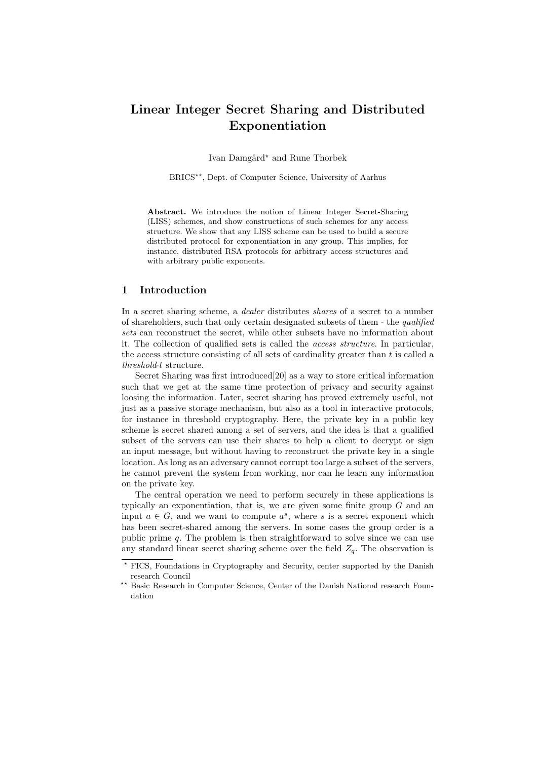# Linear Integer Secret Sharing and Distributed Exponentiation

Ivan Damgård\* and Rune Thorbek

BRICS<sup>\*\*</sup>, Dept. of Computer Science, University of Aarhus

Abstract. We introduce the notion of Linear Integer Secret-Sharing (LISS) schemes, and show constructions of such schemes for any access structure. We show that any LISS scheme can be used to build a secure distributed protocol for exponentiation in any group. This implies, for instance, distributed RSA protocols for arbitrary access structures and with arbitrary public exponents.

# 1 Introduction

In a secret sharing scheme, a *dealer* distributes *shares* of a secret to a number of shareholders, such that only certain designated subsets of them - the qualified sets can reconstruct the secret, while other subsets have no information about it. The collection of qualified sets is called the access structure. In particular, the access structure consisting of all sets of cardinality greater than t is called a threshold-t structure.

Secret Sharing was first introduced[20] as a way to store critical information such that we get at the same time protection of privacy and security against loosing the information. Later, secret sharing has proved extremely useful, not just as a passive storage mechanism, but also as a tool in interactive protocols, for instance in threshold cryptography. Here, the private key in a public key scheme is secret shared among a set of servers, and the idea is that a qualified subset of the servers can use their shares to help a client to decrypt or sign an input message, but without having to reconstruct the private key in a single location. As long as an adversary cannot corrupt too large a subset of the servers, he cannot prevent the system from working, nor can he learn any information on the private key.

The central operation we need to perform securely in these applications is typically an exponentiation, that is, we are given some finite group  $G$  and an input  $a \in G$ , and we want to compute  $a<sup>s</sup>$ , where s is a secret exponent which has been secret-shared among the servers. In some cases the group order is a public prime q. The problem is then straightforward to solve since we can use any standard linear secret sharing scheme over the field  $Z_a$ . The observation is

<sup>!</sup> FICS, Foundations in Cryptography and Security, center supported by the Danish research Council

<sup>\*\*</sup> Basic Research in Computer Science, Center of the Danish National research Foundation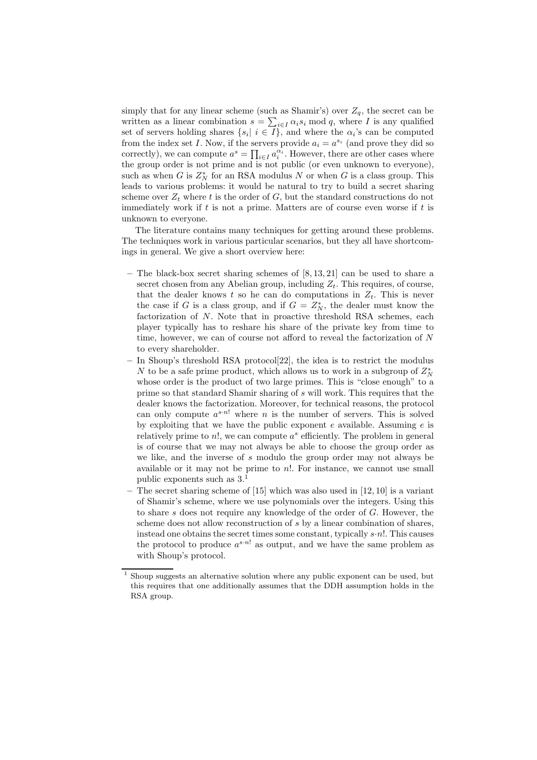simply that for any linear scheme (such as Shamir's) over  $Z_q$ , the secret can be written as a linear combination  $s = \sum_{i \in I} \alpha_i s_i \mod q$ , where I is any qualified set of servers holding shares  $\{s_i | i \in I\}$ , and where the  $\alpha_i$ 's can be computed from the index set I. Now, if the servers provide  $a_i = a^{s_i}$  (and prove they did so correctly), we can compute  $a^s = \prod_{i \in I} a_i^{\alpha_i}$ . However, there are other cases where the group order is not prime and is not public (or even unknown to everyone), such as when G is  $Z_N^*$  for an RSA modulus N or when G is a class group. This leads to various problems: it would be natural to try to build a secret sharing scheme over  $Z_t$  where t is the order of G, but the standard constructions do not immediately work if  $t$  is not a prime. Matters are of course even worse if  $t$  is unknown to everyone.

The literature contains many techniques for getting around these problems. The techniques work in various particular scenarios, but they all have shortcomings in general. We give a short overview here:

- The black-box secret sharing schemes of  $[8, 13, 21]$  can be used to share a secret chosen from any Abelian group, including  $Z_t$ . This requires, of course, that the dealer knows t so he can do computations in  $Z_t$ . This is never the case if G is a class group, and if  $G = Z_N^*$ , the dealer must know the factorization of N. Note that in proactive threshold RSA schemes, each player typically has to reshare his share of the private key from time to time, however, we can of course not afford to reveal the factorization of N to every shareholder.
- In Shoup's threshold RSA protocol[22], the idea is to restrict the modulus  $N$  to be a safe prime product, which allows us to work in a subgroup of  $\mathbb{Z}_N^*$ whose order is the product of two large primes. This is "close enough" to a prime so that standard Shamir sharing of s will work. This requires that the dealer knows the factorization. Moreover, for technical reasons, the protocol can only compute  $a^{s \cdot n!}$  where n is the number of servers. This is solved by exploiting that we have the public exponent  $e$  available. Assuming  $e$  is relatively prime to  $n!$ , we can compute  $a<sup>s</sup>$  efficiently. The problem in general is of course that we may not always be able to choose the group order as we like, and the inverse of s modulo the group order may not always be available or it may not be prime to  $n!$ . For instance, we cannot use small public exponents such as 3. 1
- The secret sharing scheme of  $[15]$  which was also used in  $[12, 10]$  is a variant of Shamir's scheme, where we use polynomials over the integers. Using this to share s does not require any knowledge of the order of  $G$ . However, the scheme does not allow reconstruction of s by a linear combination of shares, instead one obtains the secret times some constant, typically  $s \cdot n!$ . This causes the protocol to produce  $a^{s \cdot n!}$  as output, and we have the same problem as with Shoup's protocol.

<sup>&</sup>lt;sup>1</sup> Shoup suggests an alternative solution where any public exponent can be used, but this requires that one additionally assumes that the DDH assumption holds in the RSA group.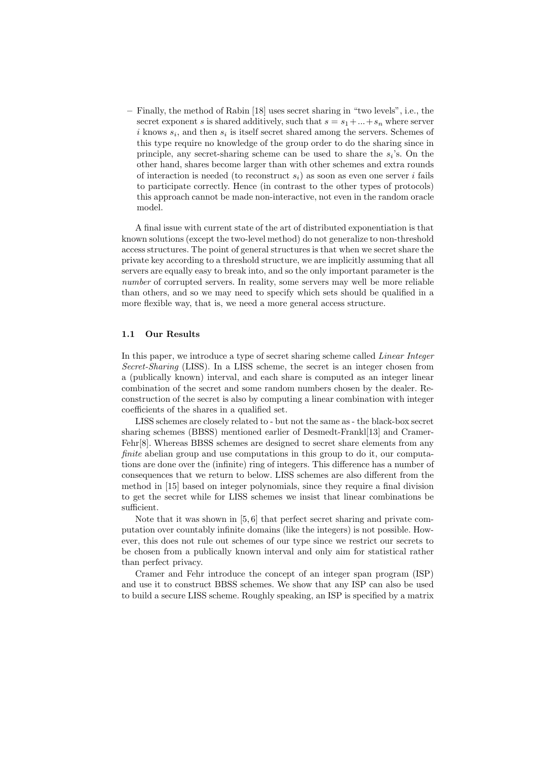– Finally, the method of Rabin [18] uses secret sharing in "two levels", i.e., the secret exponent s is shared additively, such that  $s = s_1 + ... + s_n$  where server i knows  $s_i$ , and then  $s_i$  is itself secret shared among the servers. Schemes of this type require no knowledge of the group order to do the sharing since in principle, any secret-sharing scheme can be used to share the  $s_i$ 's. On the other hand, shares become larger than with other schemes and extra rounds of interaction is needed (to reconstruct  $s_i$ ) as soon as even one server i fails to participate correctly. Hence (in contrast to the other types of protocols) this approach cannot be made non-interactive, not even in the random oracle model.

A final issue with current state of the art of distributed exponentiation is that known solutions (except the two-level method) do not generalize to non-threshold access structures. The point of general structures is that when we secret share the private key according to a threshold structure, we are implicitly assuming that all servers are equally easy to break into, and so the only important parameter is the number of corrupted servers. In reality, some servers may well be more reliable than others, and so we may need to specify which sets should be qualified in a more flexible way, that is, we need a more general access structure.

### 1.1 Our Results

In this paper, we introduce a type of secret sharing scheme called *Linear Integer* Secret-Sharing (LISS). In a LISS scheme, the secret is an integer chosen from a (publically known) interval, and each share is computed as an integer linear combination of the secret and some random numbers chosen by the dealer. Reconstruction of the secret is also by computing a linear combination with integer coefficients of the shares in a qualified set.

LISS schemes are closely related to - but not the same as - the black-box secret sharing schemes (BBSS) mentioned earlier of Desmedt-Frankl[13] and Cramer-Fehr[8]. Whereas BBSS schemes are designed to secret share elements from any finite abelian group and use computations in this group to do it, our computations are done over the (infinite) ring of integers. This difference has a number of consequences that we return to below. LISS schemes are also different from the method in [15] based on integer polynomials, since they require a final division to get the secret while for LISS schemes we insist that linear combinations be sufficient.

Note that it was shown in [5, 6] that perfect secret sharing and private computation over countably infinite domains (like the integers) is not possible. However, this does not rule out schemes of our type since we restrict our secrets to be chosen from a publically known interval and only aim for statistical rather than perfect privacy.

Cramer and Fehr introduce the concept of an integer span program (ISP) and use it to construct BBSS schemes. We show that any ISP can also be used to build a secure LISS scheme. Roughly speaking, an ISP is specified by a matrix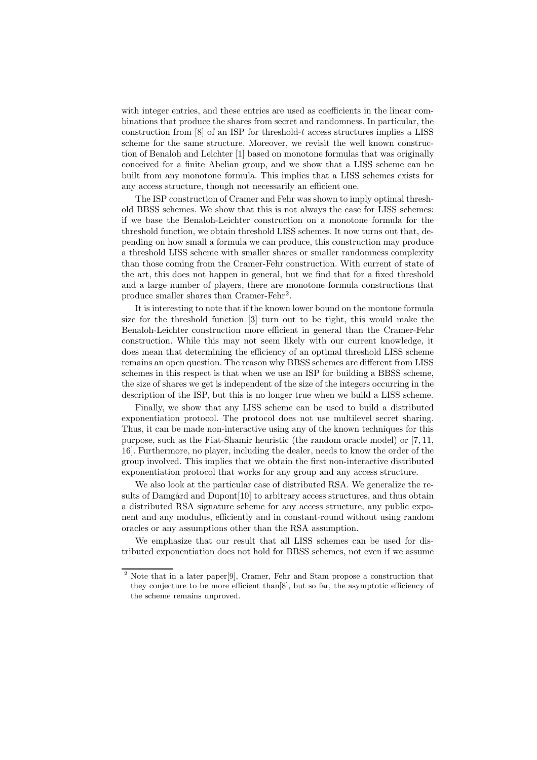with integer entries, and these entries are used as coefficients in the linear combinations that produce the shares from secret and randomness. In particular, the construction from  $[8]$  of an ISP for threshold- $t$  access structures implies a LISS scheme for the same structure. Moreover, we revisit the well known construction of Benaloh and Leichter [1] based on monotone formulas that was originally conceived for a finite Abelian group, and we show that a LISS scheme can be built from any monotone formula. This implies that a LISS schemes exists for any access structure, though not necessarily an efficient one.

The ISP construction of Cramer and Fehr was shown to imply optimal threshold BBSS schemes. We show that this is not always the case for LISS schemes: if we base the Benaloh-Leichter construction on a monotone formula for the threshold function, we obtain threshold LISS schemes. It now turns out that, depending on how small a formula we can produce, this construction may produce a threshold LISS scheme with smaller shares or smaller randomness complexity than those coming from the Cramer-Fehr construction. With current of state of the art, this does not happen in general, but we find that for a fixed threshold and a large number of players, there are monotone formula constructions that produce smaller shares than Cramer-Fehr<sup>2</sup>.

It is interesting to note that if the known lower bound on the montone formula size for the threshold function [3] turn out to be tight, this would make the Benaloh-Leichter construction more efficient in general than the Cramer-Fehr construction. While this may not seem likely with our current knowledge, it does mean that determining the efficiency of an optimal threshold LISS scheme remains an open question. The reason why BBSS schemes are different from LISS schemes in this respect is that when we use an ISP for building a BBSS scheme, the size of shares we get is independent of the size of the integers occurring in the description of the ISP, but this is no longer true when we build a LISS scheme.

Finally, we show that any LISS scheme can be used to build a distributed exponentiation protocol. The protocol does not use multilevel secret sharing. Thus, it can be made non-interactive using any of the known techniques for this purpose, such as the Fiat-Shamir heuristic (the random oracle model) or [7, 11, 16]. Furthermore, no player, including the dealer, needs to know the order of the group involved. This implies that we obtain the first non-interactive distributed exponentiation protocol that works for any group and any access structure.

We also look at the particular case of distributed RSA. We generalize the results of Damgård and Dupont $[10]$  to arbitrary access structures, and thus obtain a distributed RSA signature scheme for any access structure, any public exponent and any modulus, efficiently and in constant-round without using random oracles or any assumptions other than the RSA assumption.

We emphasize that our result that all LISS schemes can be used for distributed exponentiation does not hold for BBSS schemes, not even if we assume

<sup>2</sup> Note that in a later paper[9], Cramer, Fehr and Stam propose a construction that they conjecture to be more efficient than[8], but so far, the asymptotic efficiency of the scheme remains unproved.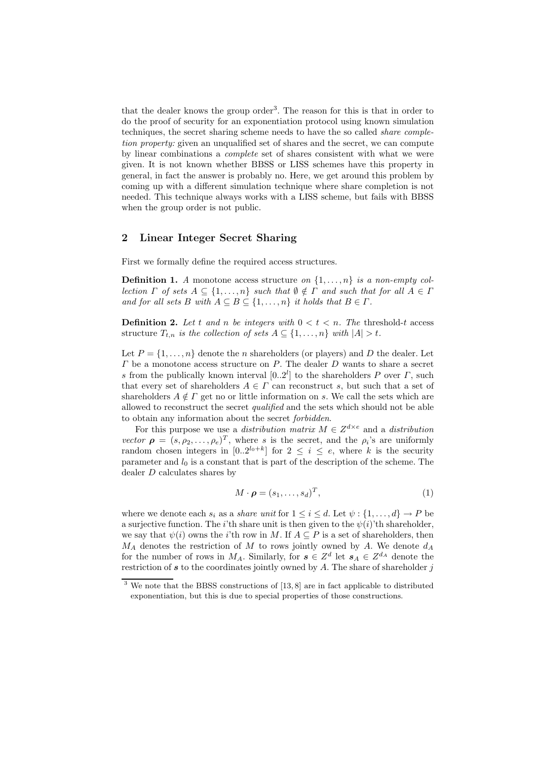that the dealer knows the group order<sup>3</sup>. The reason for this is that in order to do the proof of security for an exponentiation protocol using known simulation techniques, the secret sharing scheme needs to have the so called share completion property: given an unqualified set of shares and the secret, we can compute by linear combinations a complete set of shares consistent with what we were given. It is not known whether BBSS or LISS schemes have this property in general, in fact the answer is probably no. Here, we get around this problem by coming up with a different simulation technique where share completion is not needed. This technique always works with a LISS scheme, but fails with BBSS when the group order is not public.

# 2 Linear Integer Secret Sharing

First we formally define the required access structures.

**Definition 1.** A monotone access structure on  $\{1, \ldots, n\}$  is a non-empty collection  $\Gamma$  of sets  $A \subseteq \{1, \ldots, n\}$  such that  $\emptyset \notin \Gamma$  and such that for all  $A \in \Gamma$ and for all sets B with  $A \subseteq B \subseteq \{1, \ldots, n\}$  it holds that  $B \in \Gamma$ .

**Definition 2.** Let t and n be integers with  $0 < t < n$ . The threshold-t access structure  $T_{t,n}$  is the collection of sets  $A \subseteq \{1,\ldots,n\}$  with  $|A| > t$ .

Let  $P = \{1, \ldots, n\}$  denote the *n* shareholders (or players) and *D* the dealer. Let  $\Gamma$  be a monotone access structure on  $P$ . The dealer  $D$  wants to share a secret s from the publically known interval  $[0..2^l]$  to the shareholders P over  $\Gamma$ , such that every set of shareholders  $A \in \Gamma$  can reconstruct s, but such that a set of shareholders  $A \notin \Gamma$  get no or little information on s. We call the sets which are allowed to reconstruct the secret qualified and the sets which should not be able to obtain any information about the secret forbidden.

For this purpose we use a distribution matrix  $M \in \mathbb{Z}^{d \times e}$  and a distribution vector  $\rho = (s, \rho_2, \dots, \rho_e)^T$ , where s is the secret, and the  $\rho_i$ 's are uniformly random chosen integers in  $[0..2^{l_0+k}]$  for  $2 \leq i \leq e$ , where k is the security parameter and  $l_0$  is a constant that is part of the description of the scheme. The dealer D calculates shares by

$$
M \cdot \boldsymbol{\rho} = (s_1, \dots, s_d)^T, \tag{1}
$$

where we denote each  $s_i$  as a *share unit* for  $1 \leq i \leq d$ . Let  $\psi : \{1, \ldots, d\} \to P$  be a surjective function. The *i*'th share unit is then given to the  $\psi(i)$ 'th shareholder, we say that  $\psi(i)$  owns the *i*'th row in M. If  $A \subseteq P$  is a set of shareholders, then  $M_A$  denotes the restriction of M to rows jointly owned by A. We denote  $d_A$ for the number of rows in  $M_A$ . Similarly, for  $s \in \mathbb{Z}^d$  let  $s_A \in \mathbb{Z}^{d_A}$  denote the restriction of  $s$  to the coordinates jointly owned by  $A$ . The share of shareholder  $j$ 

 $3$  We note that the BBSS constructions of  $[13, 8]$  are in fact applicable to distributed exponentiation, but this is due to special properties of those constructions.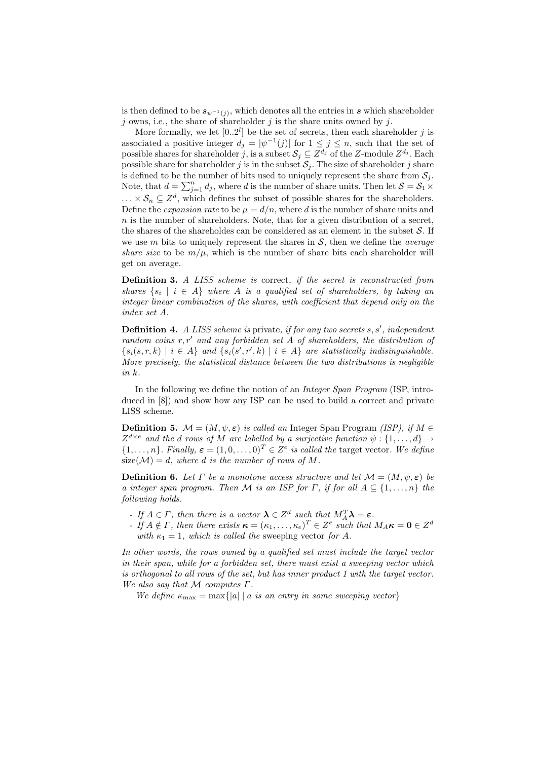is then defined to be  $s_{\psi^{-1}(i)}$ , which denotes all the entries in s which shareholder j owns, i.e., the share of shareholder j is the share units owned by j.

More formally, we let  $[0..2^l]$  be the set of secrets, then each shareholder j is associated a positive integer  $d_j = |\psi^{-1}(j)|$  for  $1 \leq j \leq n$ , such that the set of possible shares for shareholder j, is a subset  $\mathcal{S}_j \subseteq Z^{d_j}$  of the Z-module  $Z^{d_j}$ . Each possible share for shareholder j is in the subset  $S_i$ . The size of shareholder j share is defined to be the number of bits used to uniquely represent the share from  $S_j$ . Note, that  $d = \sum_{j=1}^{n} d_j$ , where d is the number of share units. Then let  $S = S_1 \times$  $\ldots \times S_n \subseteq \mathbb{Z}^d$ , which defines the subset of possible shares for the shareholders. Define the expansion rate to be  $\mu = d/n$ , where d is the number of share units and  $n$  is the number of shareholders. Note, that for a given distribution of a secret, the shares of the shareholdes can be considered as an element in the subset  $S$ . If we use m bits to uniquely represent the shares in  $S$ , then we define the *average* share size to be  $m/\mu$ , which is the number of share bits each shareholder will get on average.

Definition 3. A LISS scheme is correct, if the secret is reconstructed from shares  $\{s_i \mid i \in A\}$  where A is a qualified set of shareholders, by taking an integer linear combination of the shares, with coefficient that depend only on the index set A.

**Definition 4.** A LISS scheme is private, if for any two secrets  $s, s'$ , independent random coins  $r, r'$  and any forbidden set A of shareholders, the distribution of  $\{s_i(s,r,k) \mid i \in A\}$  and  $\{s_i(s',r',k) \mid i \in A\}$  are statistically indisinguishable. More precisely, the statistical distance between the two distributions is negligible in k.

In the following we define the notion of an Integer Span Program (ISP, introduced in [8]) and show how any ISP can be used to build a correct and private LISS scheme.

**Definition 5.**  $\mathcal{M} = (M, \psi, \varepsilon)$  is called an Integer Span Program *(ISP)*, if  $M \in$  $Z^{d \times e}$  and the d rows of M are labelled by a surjective function  $\psi : \{1, \ldots, d\} \rightarrow$  $\{1,\ldots,n\}$ . Finally,  $\varepsilon = (1,0,\ldots,0)^T \in \mathbb{Z}^e$  is called the target vector. We define  $size(\mathcal{M}) = d$ , where d is the number of rows of M.

**Definition 6.** Let  $\Gamma$  be a monotone access structure and let  $\mathcal{M} = (M, \psi, \varepsilon)$  be a integer span program. Then M is an ISP for  $\Gamma$ , if for all  $A \subseteq \{1, \ldots, n\}$  the following holds.

- If  $A \in \Gamma$ , then there is a vector  $\lambda \in \mathbb{Z}^d$  such that  $M_A^T \lambda = \varepsilon$ .
- If  $A \notin \Gamma$ , then there exists  $\kappa = (\kappa_1, \ldots, \kappa_e)^T \in Z^e$  such that  $M_A \kappa = \mathbf{0} \in Z^d$ with  $\kappa_1 = 1$ , which is called the sweeping vector for A.

In other words, the rows owned by a qualified set must include the target vector in their span, while for a forbidden set, there must exist a sweeping vector which is orthogonal to all rows of the set, but has inner product 1 with the target vector. We also say that  $M$  computes  $\Gamma$ .

We define  $\kappa_{\text{max}} = \max\{|a| \mid a \text{ is an entry in some sweeping vector}\}\$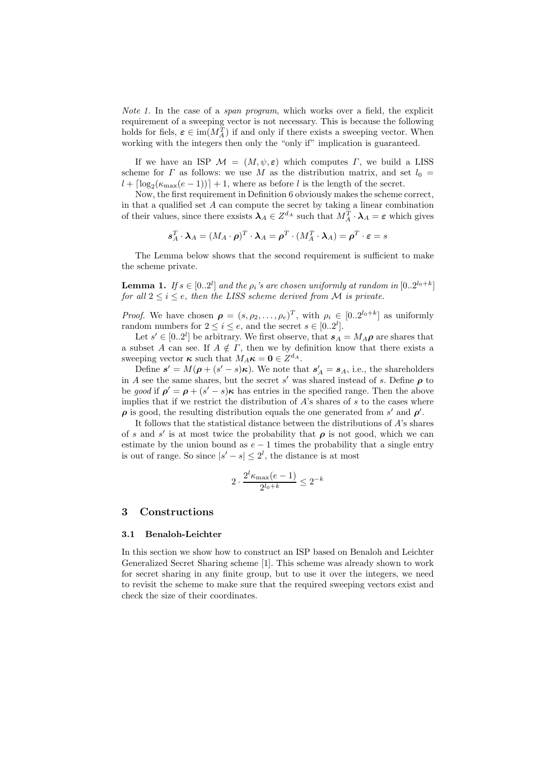Note 1. In the case of a span program, which works over a field, the explicit requirement of a sweeping vector is not necessary. This is because the following holds for fiels,  $\varepsilon \in \text{im}(M_A^T)$  if and only if there exists a sweeping vector. When working with the integers then only the "only if" implication is guaranteed.

If we have an ISP  $\mathcal{M} = (M, \psi, \varepsilon)$  which computes  $\Gamma$ , we build a LISS scheme for  $\Gamma$  as follows: we use  $M$  as the distribution matrix, and set  $l_0 =$  $l + \lfloor \log_2(\kappa_{\text{max}}(e-1)) \rfloor + 1$ , where as before l is the length of the secret.

Now, the first requirement in Definition 6 obviously makes the scheme correct, in that a qualified set  $A$  can compute the secret by taking a linear combination of their values, since there exsists  $\lambda_A \in Z^{d_A}$  such that  $M_A^T \cdot \lambda_A = \varepsilon$  which gives

$$
\boldsymbol{s}_A^T \cdot \boldsymbol{\lambda}_A = (M_A \cdot \boldsymbol{\rho})^T \cdot \boldsymbol{\lambda}_A = \boldsymbol{\rho}^T \cdot (M_A^T \cdot \boldsymbol{\lambda}_A) = \boldsymbol{\rho}^T \cdot \boldsymbol{\varepsilon} = s
$$

The Lemma below shows that the second requirement is sufficient to make the scheme private.

**Lemma 1.** If  $s \in [0..2^l]$  and the  $\rho_i$ 's are chosen uniformly at random in  $[0..2^{l_0+k}]$ for all  $2 \leq i \leq e$ , then the LISS scheme derived from M is private.

*Proof.* We have chosen  $\rho = (s, \rho_2, \ldots, \rho_e)^T$ , with  $\rho_i \in [0..2^{l_0+k}]$  as uniformly random numbers for  $2 \leq i \leq e$ , and the secret  $s \in [0..2^l]$ .

Let  $s' \in [0..2^l]$  be arbitrary. We first observe, that  $s_A = M_A \rho$  are shares that a subset A can see. If  $A \notin \Gamma$ , then we by definition know that there exists a sweeping vector  $\kappa$  such that  $M_A \kappa = 0 \in Z^{d_A}$ .

Define  $s' = M(\boldsymbol{\rho} + (s'-s)\boldsymbol{\kappa})$ . We note that  $s'_{A} = s_{A}$ , i.e., the shareholders in A see the same shares, but the secret s' was shared instead of s. Define  $\rho$  to be good if  $\rho' = \rho + (s' - s)\kappa$  has entries in the specified range. Then the above implies that if we restrict the distribution of  $A$ 's shares of s to the cases where  $\rho$  is good, the resulting distribution equals the one generated from s' and  $\rho'$ .

It follows that the statistical distance between the distributions of  $A$ 's shares of s and s' is at most twice the probability that  $\rho$  is not good, which we can estimate by the union bound as  $e-1$  times the probability that a single entry is out of range. So since  $|s' - s| \leq 2^l$ , the distance is at most

$$
2 \cdot \frac{2^l \kappa_{\max}(e-1)}{2^{l_0+k}} \le 2^{-k}
$$

# 3 Constructions

#### 3.1 Benaloh-Leichter

In this section we show how to construct an ISP based on Benaloh and Leichter Generalized Secret Sharing scheme [1]. This scheme was already shown to work for secret sharing in any finite group, but to use it over the integers, we need to revisit the scheme to make sure that the required sweeping vectors exist and check the size of their coordinates.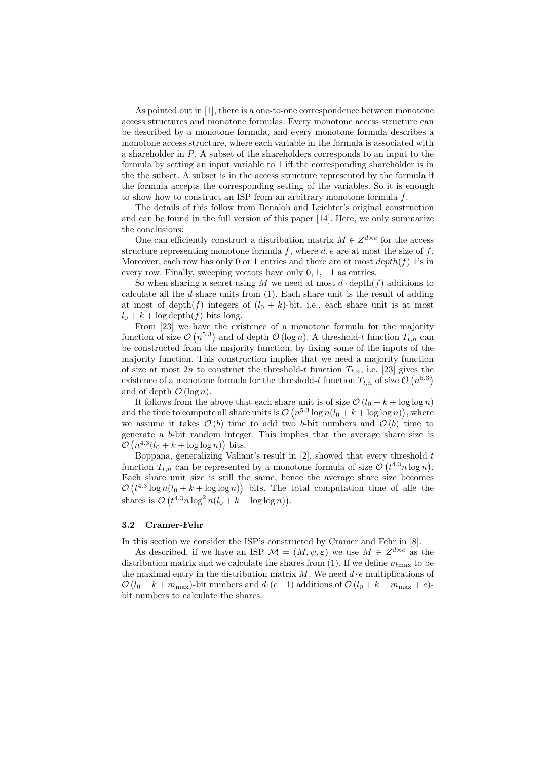As pointed out in [1], there is a one-to-one correspondence between monotone access structures and monotone formulas. Every monotone access structure can be described by a monotone formula, and every monotone formula describes a monotone access structure, where each variable in the formula is associated with a shareholder in P. A subset of the shareholders corresponds to an input to the formula by setting an input variable to 1 iff the corresponding shareholder is in the the subset. A subset is in the access structure represented by the formula if the formula accepts the corresponding setting of the variables. So it is enough to show how to construct an ISP from an arbitrary monotone formula f.

The details of this follow from Benaloh and Leichter's original construction and can be found in the full version of this paper [14]. Here, we only summarize the conclusions:

One can efficiently construct a distribution matrix  $M \in Z^{d \times e}$  for the access structure representing monotone formula  $f$ , where  $d, e$  are at most the size of  $f$ . Moreover, each row has only 0 or 1 entries and there are at most  $depth(f)$  1's in every row. Finally, sweeping vectors have only  $0, 1, -1$  as entries.

So when sharing a secret using M we need at most  $d \cdot \text{depth}(f)$  additions to calculate all the  $d$  share units from  $(1)$ . Each share unit is the result of adding at most of depth $(f)$  integers of  $(l_0 + k)$ -bit, i.e., each share unit is at most  $l_0 + k + \log \operatorname{depth}(f)$  bits long.

From [23] we have the existence of a monotone formula for the majority function of size  $\mathcal{O}(n^{5.3})$  and of depth  $\mathcal{O}(\log n)$ . A threshold-t function  $T_{t,n}$  can be constructed from the majority function, by fixing some of the inputs of the majority function. This construction implies that we need a majority function of size at most 2n to construct the threshold-t function  $T_{t,n}$ , i.e. [23] gives the existence of a monotone formula for the threshold-t function  $T_{t,n}$  of size  $\mathcal{O}(n^{5.3})$ and of depth  $\mathcal{O}(\log n)$ .

It follows from the above that each share unit is of size  $\mathcal{O}(l_0 + k + \log \log n)$ and the time to compute all share units is  $\mathcal{O}(n^{5.3} \log n(l_0 + k + \log \log n))$ , where we assume it takes  $\mathcal{O}(b)$  time to add two b-bit numbers and  $\mathcal{O}(b)$  time to generate a b-bit random integer. This implies that the average share size is  $\mathcal{O}\left(n^{4.3}(l_0 + k + \log \log n)\right)$  bits.

Boppana, generalizing Valiant's result in  $[2]$ , showed that every threshold  $t$ function  $T_{t,n}$  can be represented by a monotone formula of size  $\mathcal{O}\left(t^{4.3}n\log n\right)$ . Each share unit size is still the same, hence the average share size becomes  $\mathcal{O}\left(t^{4.3}\log n(l_0+k+\log\log n)\right)$  bits. The total computation time of alle the shares is  $\mathcal{O}\left(t^{4.3}n\log^2 n(l_0+k+\log\log n)\right)$ .

#### 3.2 Cramer-Fehr

In this section we consider the ISP's constructed by Cramer and Fehr in [8].

As described, if we have an ISP  $\mathcal{M} = (M, \psi, \varepsilon)$  we use  $M \in Z^{d \times e}$  as the distribution matrix and we calculate the shares from  $(1)$ . If we define  $m_{\text{max}}$  to be the maximal entry in the distribution matrix M. We need  $d \cdot e$  multiplications of  $\mathcal{O}(l_0 + k + m_{\text{max}})$ -bit numbers and  $d \cdot (e-1)$  additions of  $\mathcal{O}(l_0 + k + m_{\text{max}} + e)$ bit numbers to calculate the shares.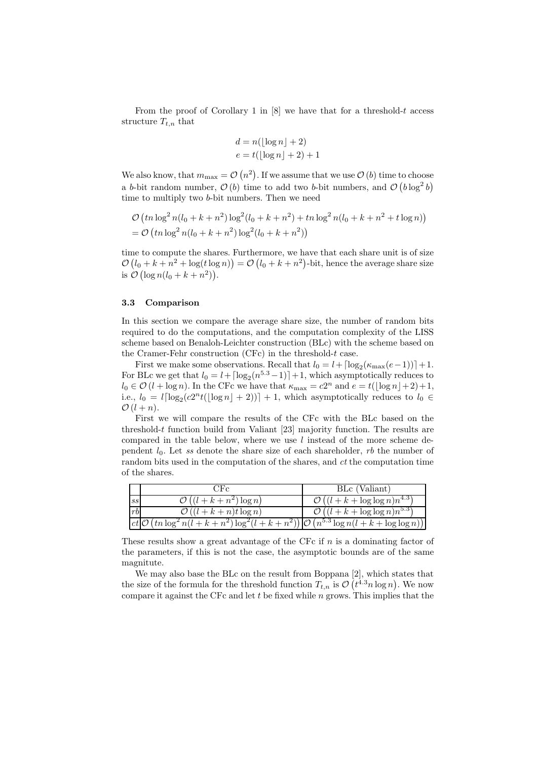From the proof of Corollary 1 in  $[8]$  we have that for a threshold-t access structure  $T_{t,n}$  that

$$
d = n(\lfloor \log n \rfloor + 2)
$$
  

$$
e = t(\lfloor \log n \rfloor + 2) + 1
$$

We also know, that  $m_{\text{max}} = \mathcal{O}(n^2)$ . If we assume that we use  $\mathcal{O}(b)$  time to choose a *b*-bit random number,  $\mathcal{O}(b)$  time to add two *b*-bit numbers, and  $\mathcal{O}(b \log^2 b)$ time to multiply two b-bit numbers. Then we need

$$
\mathcal{O}\left(\ln\log^2 n(l_0 + k + n^2)\log^2(l_0 + k + n^2) + \ln\log^2 n(l_0 + k + n^2 + t\log n)\right)
$$
  
=  $\mathcal{O}\left(\ln\log^2 n(l_0 + k + n^2)\log^2(l_0 + k + n^2)\right)$ 

time to compute the shares. Furthermore, we have that each share unit is of size  $\mathcal{O}\left(l_0 + k + n^2 + \log(t \log n)\right) = \mathcal{O}\left(l_0 + k + n^2\right)$ -bit, hence the average share size is  $\mathcal{O}\left(\log n(l_0 + k + n^2)\right)$ .

#### 3.3 Comparison

In this section we compare the average share size, the number of random bits required to do the computations, and the computation complexity of the LISS scheme based on Benaloh-Leichter construction (BLc) with the scheme based on the Cramer-Fehr construction (CFc) in the threshold-t case.

First we make some observations. Recall that  $l_0 = l+ \lfloor \log_2(\kappa_{\text{max}}(e-1)) \rfloor +1$ . For BLc we get that  $l_0 = l + \lceil \log_2(n^{5.3}-1) \rceil + 1$ , which asymptotically reduces to  $l_0 \in \mathcal{O}\left(l + \log n\right)$ . In the CFc we have that  $\kappa_{\max} = c2^n$  and  $e = t(\lfloor \log n \rfloor + 2) + 1$ , i.e.,  $l_0 = l \lceil \log_2(c2^n t (\lfloor \log n \rfloor + 2)) \rceil + 1$ , which asymptotically reduces to  $l_0 \in$  $\mathcal{O}(l+n).$ 

First we will compare the results of the CFc with the BLc based on the threshold-t function build from Valiant [23] majority function. The results are compared in the table below, where we use  $l$  instead of the more scheme dependent  $l_0$ . Let ss denote the share size of each shareholder, rb the number of random bits used in the computation of the shares, and ct the computation time of the shares.

|    | ∷F'c                                                                                                                                           | BLc (Valiant)                |
|----|------------------------------------------------------------------------------------------------------------------------------------------------|------------------------------|
| SS | $((l + k + n^2) \log n)$                                                                                                                       | $+k + \log \log n$ $n^{4.3}$ |
| rb | $\mathcal{O}\left((l+k+n)t\log n\right)$                                                                                                       | $((l+k+\log\log n)n^{5.3})$  |
|    | $\left[ct\left \mathcal{O}\left(\ln\log^2 n(l+k+n^2)\log^2(l+k+n^2)\right)\right \mathcal{O}\left(n^{5.3}\log n(l+k+\log\log n)\right)\right]$ |                              |

These results show a great advantage of the CFc if  $n$  is a dominating factor of the parameters, if this is not the case, the asymptotic bounds are of the same magnitute.

We may also base the BLc on the result from Boppana [2], which states that the size of the formula for the threshold function  $T_{t,n}$  is  $\mathcal{O}(t^{4.3} n \log n)$ . We now compare it against the CFc and let  $t$  be fixed while  $n$  grows. This implies that the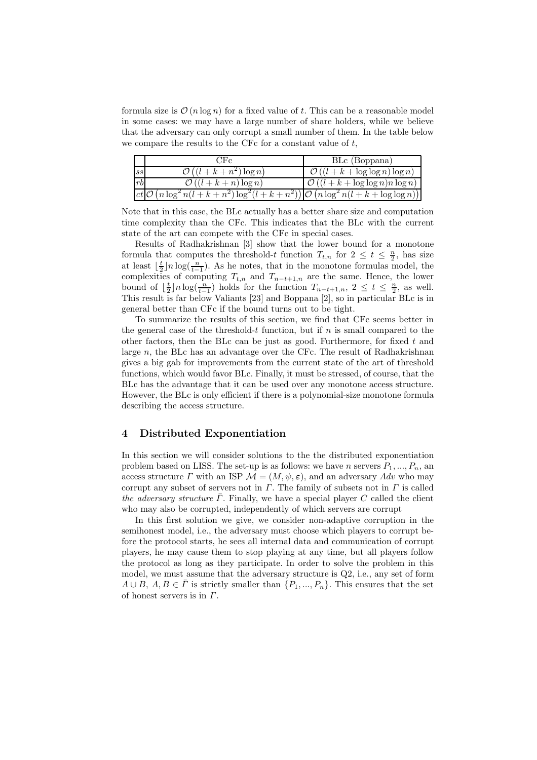formula size is  $\mathcal{O}(n \log n)$  for a fixed value of t. This can be a reasonable model in some cases: we may have a large number of share holders, while we believe that the adversary can only corrupt a small number of them. In the table below we compare the results to the CFc for a constant value of  $t$ ,

|                          |                                                                                                                                          | BLc (Boppana)                                     |
|--------------------------|------------------------------------------------------------------------------------------------------------------------------------------|---------------------------------------------------|
| $\mathcal{S}\mathcal{S}$ | $(k + n^2) \log n$                                                                                                                       | $\mathcal{O}\left((l+k+\log\log n)\log n\right)$  |
| rb                       | $\mathcal{O}\left((l+k+n)\log n\right)$                                                                                                  | $\mathcal{O}\left((l+k+\log\log n)n\log n\right)$ |
|                          | $\left[ct\left \mathcal{O}\left(n\log^2 n(l+k+n^2)\log^2(l+k+n^2)\right)\right \mathcal{O}\left(n\log^2 n(l+k+\log\log n)\right)\right]$ |                                                   |

Note that in this case, the BLc actually has a better share size and computation time complexity than the CFc. This indicates that the BLc with the current state of the art can compete with the CFc in special cases.

Results of Radhakrishnan [3] show that the lower bound for a monotone formula that computes the threshold-t function  $T_{t,n}$  for  $2 \leq t \leq \frac{n}{2}$ , has size at least  $\lfloor \frac{t}{2} \rfloor n \log(\frac{n}{t-1})$ . As he notes, that in the monotone formulas model, the complexities of computing  $T_{t,n}$  and  $T_{n-t+1,n}$  are the same. Hence, the lower bound of  $\lfloor \frac{t}{2} \rfloor n \log(\frac{n}{t-1})$  holds for the function  $T_{n-t+1,n}$ ,  $2 \leq t \leq \frac{n}{2}$ , as well. This result is far below Valiants [23] and Boppana [2], so in particular BLc is in general better than CFc if the bound turns out to be tight.

To summarize the results of this section, we find that CFc seems better in the general case of the threshold- $t$  function, but if  $n$  is small compared to the other factors, then the BLc can be just as good. Furthermore, for fixed  $t$  and large  $n$ , the BLc has an advantage over the CFc. The result of Radhakrishnan gives a big gab for improvements from the current state of the art of threshold functions, which would favor BLc. Finally, it must be stressed, of course, that the BLc has the advantage that it can be used over any monotone access structure. However, the BLc is only efficient if there is a polynomial-size monotone formula describing the access structure.

# 4 Distributed Exponentiation

In this section we will consider solutions to the the distributed exponentiation problem based on LISS. The set-up is as follows: we have n servers  $P_1, ..., P_n$ , an access structure  $\Gamma$  with an ISP  $\mathcal{M} = (M, \psi, \varepsilon)$ , and an adversary Adv who may corrupt any subset of servers not in  $\Gamma$ . The family of subsets not in  $\Gamma$  is called the adversary structure  $\Gamma$ . Finally, we have a special player C called the client who may also be corrupted, independently of which servers are corrupt

In this first solution we give, we consider non-adaptive corruption in the semihonest model, i.e., the adversary must choose which players to corrupt before the protocol starts, he sees all internal data and communication of corrupt players, he may cause them to stop playing at any time, but all players follow the protocol as long as they participate. In order to solve the problem in this model, we must assume that the adversary structure is Q2, i.e., any set of form  $A \cup B$ ,  $A, B \in \overline{\Gamma}$  is strictly smaller than  $\{P_1, ..., P_n\}$ . This ensures that the set of honest servers is in  $\Gamma$ .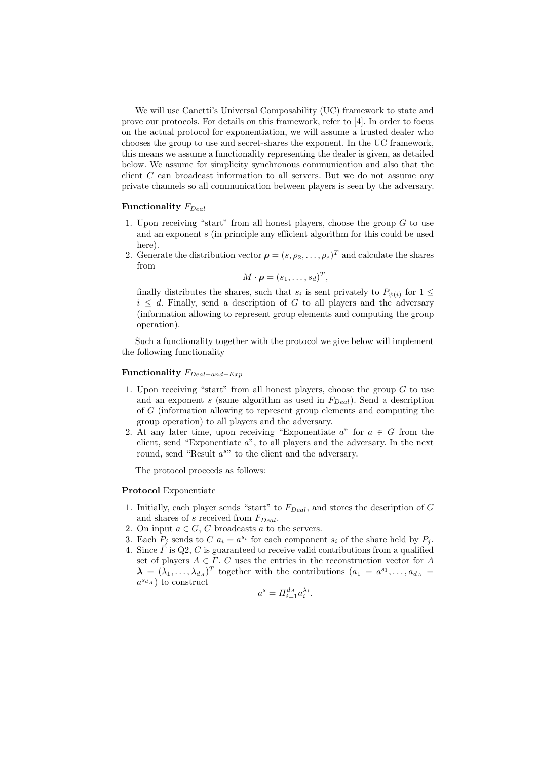We will use Canetti's Universal Composability (UC) framework to state and prove our protocols. For details on this framework, refer to [4]. In order to focus on the actual protocol for exponentiation, we will assume a trusted dealer who chooses the group to use and secret-shares the exponent. In the UC framework, this means we assume a functionality representing the dealer is given, as detailed below. We assume for simplicity synchronous communication and also that the client  $C$  can broadcast information to all servers. But we do not assume any private channels so all communication between players is seen by the adversary.

#### Functionality  $F_{Deal}$

- 1. Upon receiving "start" from all honest players, choose the group  $G$  to use and an exponent s (in principle any efficient algorithm for this could be used here).
- 2. Generate the distribution vector  $\boldsymbol{\rho} = (s, \rho_2, \dots, \rho_e)^T$  and calculate the shares from

$$
M \cdot \boldsymbol{\rho} = (s_1, \ldots, s_d)^T,
$$

finally distributes the shares, such that  $s_i$  is sent privately to  $P_{\psi(i)}$  for  $1 \leq$  $i \leq d$ . Finally, send a description of G to all players and the adversary (information allowing to represent group elements and computing the group operation).

Such a functionality together with the protocol we give below will implement the following functionality

# Functionality  $F_{Deal-and-Exp}$

- 1. Upon receiving "start" from all honest players, choose the group  $G$  to use and an exponent s (same algorithm as used in  $F_{Deal}$ ). Send a description of G (information allowing to represent group elements and computing the group operation) to all players and the adversary.
- 2. At any later time, upon receiving "Exponentiate  $a$ " for  $a \in G$  from the client, send "Exponentiate  $a$ ", to all players and the adversary. In the next round, send "Result  $a^{s}$ " to the client and the adversary.

The protocol proceeds as follows:

#### Protocol Exponentiate

- 1. Initially, each player sends "start" to  $F_{Deal}$ , and stores the description of  $G$ and shares of  $s$  received from  $F_{Deal}$ .
- 2. On input  $a \in G$ , C broadcasts a to the servers.
- 3. Each  $P_i$  sends to  $C a_i = a^{s_i}$  for each component  $s_i$  of the share held by  $P_i$ .
- 4. Since  $\overline{\Gamma}$  is Q2, C is guaranteed to receive valid contributions from a qualified set of players  $A \in \Gamma$ . C uses the entries in the reconstruction vector for A  $\lambda = (\lambda_1, \ldots, \lambda_{d_A})^T$  together with the contributions  $(a_1 = a^{s_1}, \ldots, a_{d_A} =$  $a^{s_{d}}$  ) to construct

$$
a^s = \Pi_{i=1}^{d_A} a_i^{\lambda_i}.
$$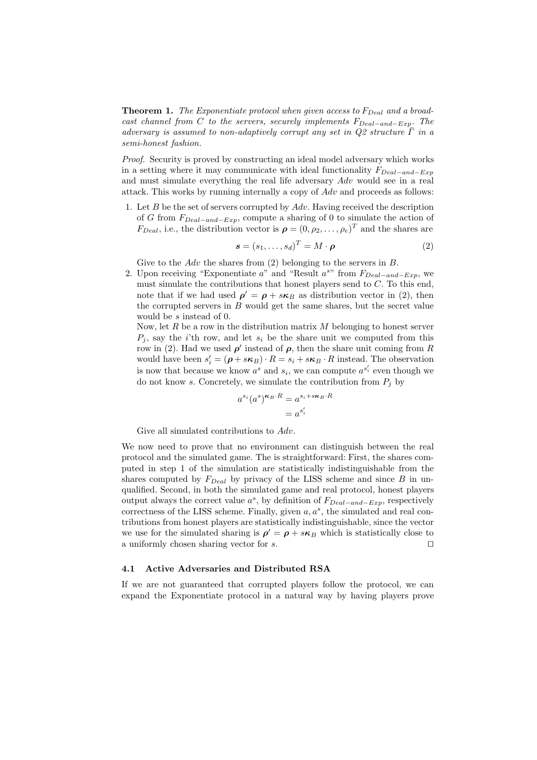**Theorem 1.** The Exponentiate protocol when given access to  $F_{Deal}$  and a broadcast channel from C to the servers, securely implements  $F_{Deal-and-Exp}$ . The adversary is assumed to non-adaptively corrupt any set in  $Q2$  structure  $\overline{\Gamma}$  in a semi-honest fashion.

Proof. Security is proved by constructing an ideal model adversary which works in a setting where it may communicate with ideal functionality  $F_{Deal-and-Exp}$ and must simulate everything the real life adversary Adv would see in a real attack. This works by running internally a copy of Adv and proceeds as follows:

1. Let  $B$  be the set of servers corrupted by  $Adv$ . Having received the description of G from  $F_{Deal-and-Exp}$ , compute a sharing of 0 to simulate the action of  $F_{Deal}$ , i.e., the distribution vector is  $\boldsymbol{\rho} = (0, \rho_2, \ldots, \rho_e)^T$  and the shares are

$$
\mathbf{s} = (s_1, \dots, s_d)^T = M \cdot \boldsymbol{\rho} \tag{2}
$$

Give to the  $Adv$  the shares from (2) belonging to the servers in  $B$ .

2. Upon receiving "Exponentiate a" and "Result  $a^{s}$ " from  $F_{Deal-and-Exp}$ , we must simulate the contributions that honest players send to C. To this end, note that if we had used  $\rho' = \rho + s\kappa_B$  as distribution vector in (2), then the corrupted servers in B would get the same shares, but the secret value would be s instead of 0.

Now, let  $R$  be a row in the distribution matrix  $M$  belonging to honest server  $P_i$ , say the *i*'th row, and let  $s_i$  be the share unit we computed from this row in (2). Had we used  $\rho'$  instead of  $\rho$ , then the share unit coming from R would have been  $s_i' = (\boldsymbol{\rho} + s\boldsymbol{\kappa}_B) \cdot R = s_i + s\boldsymbol{\kappa}_B \cdot R$  instead. The observation is now that because we know  $a^s$  and  $s_i$ , we can compute  $a^{s'_i}$  even though we do not know s. Concretely, we simulate the contribution from  $P_i$  by

$$
a^{s_i}(a^s)^{\kappa_B \cdot R} = a^{s_i + s\kappa_B \cdot R}
$$

$$
= a^{s'_i}
$$

Give all simulated contributions to Adv.

We now need to prove that no environment can distinguish between the real protocol and the simulated game. The is straightforward: First, the shares computed in step 1 of the simulation are statistically indistinguishable from the shares computed by  $F_{Deal}$  by privacy of the LISS scheme and since B in unqualified. Second, in both the simulated game and real protocol, honest players output always the correct value  $a^s$ , by definition of  $F_{Deal-and-Exp}$ , respectively correctness of the LISS scheme. Finally, given  $a, a^s$ , the simulated and real contributions from honest players are statistically indistinguishable, since the vector we use for the simulated sharing is  $\rho' = \rho + s\kappa_B$  which is statistically close to a uniformly chosen sharing vector for s.  $\Box$ 

## 4.1 Active Adversaries and Distributed RSA

If we are not guaranteed that corrupted players follow the protocol, we can expand the Exponentiate protocol in a natural way by having players prove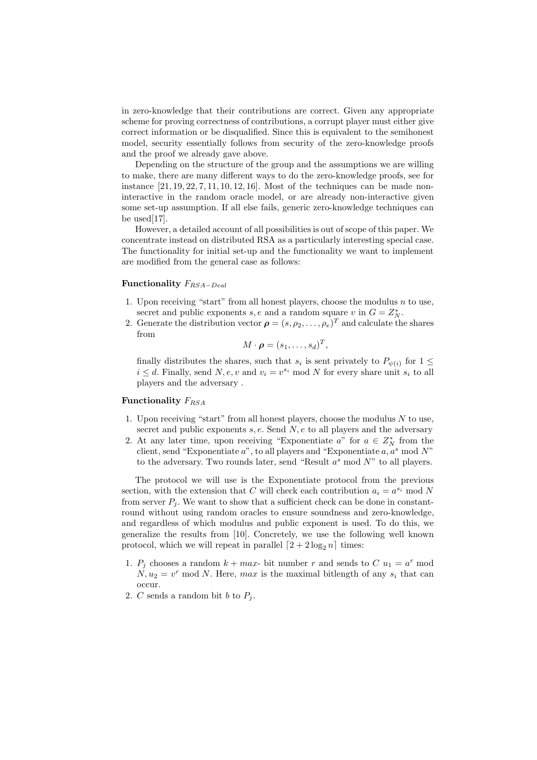in zero-knowledge that their contributions are correct. Given any appropriate scheme for proving correctness of contributions, a corrupt player must either give correct information or be disqualified. Since this is equivalent to the semihonest model, security essentially follows from security of the zero-knowledge proofs and the proof we already gave above.

Depending on the structure of the group and the assumptions we are willing to make, there are many different ways to do the zero-knowledge proofs, see for instance  $[21, 19, 22, 7, 11, 10, 12, 16]$ . Most of the techniques can be made noninteractive in the random oracle model, or are already non-interactive given some set-up assumption. If all else fails, generic zero-knowledge techniques can be used[17].

However, a detailed account of all possibilities is out of scope of this paper. We concentrate instead on distributed RSA as a particularly interesting special case. The functionality for initial set-up and the functionality we want to implement are modified from the general case as follows:

# Functionality  $F_{RSA-Deal}$

- 1. Upon receiving "start" from all honest players, choose the modulus  $n$  to use, secret and public exponents s, e and a random square v in  $G = Z_N^*$ .
- 2. Generate the distribution vector  $\rho = (s, \rho_2, \ldots, \rho_e)^T$  and calculate the shares from

$$
M \cdot \boldsymbol{\rho} = (s_1, \ldots, s_d)^T,
$$

finally distributes the shares, such that  $s_i$  is sent privately to  $P_{\psi(i)}$  for  $1 \leq$  $i \leq d$ . Finally, send  $N, e, v$  and  $v_i = v^{s_i} \mod N$  for every share unit  $s_i$  to all players and the adversary .

# Functionality  $F_{RSA}$

- 1. Upon receiving "start" from all honest players, choose the modulus  $N$  to use, secret and public exponents  $s, e$ . Send  $N, e$  to all players and the adversary
- 2. At any later time, upon receiving "Exponentiate  $a$ " for  $a \in Z_N^*$  from the client, send "Exponentiate  $a$ ", to all players and "Exponentiate  $a, a<sup>s</sup>$  mod N" to the adversary. Two rounds later, send "Result  $a^s \mod N$ " to all players.

The protocol we will use is the Exponentiate protocol from the previous section, with the extension that C will check each contribution  $a_i = a^{s_i} \mod N$ from server  $P_i$ . We want to show that a sufficient check can be done in constantround without using random oracles to ensure soundness and zero-knowledge, and regardless of which modulus and public exponent is used. To do this, we generalize the results from [10]. Concretely, we use the following well known protocol, which we will repeat in parallel  $\left[2+2\log_2 n\right]$  times:

- 1.  $P_j$  chooses a random  $k + max$  bit number r and sends to  $C u_1 = a^r$  mod  $N, u_2 = v^r \mod N$ . Here, max is the maximal bitlength of any  $s_i$  that can occur.
- 2. C sends a random bit b to  $P_i$ .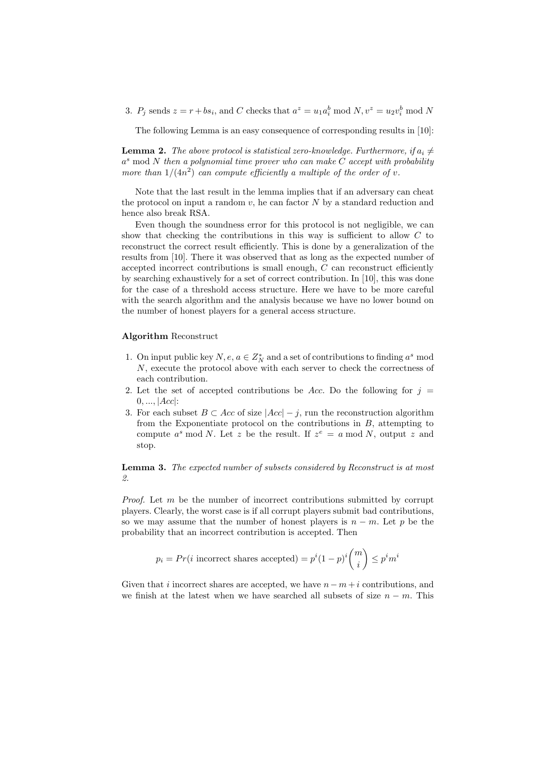3.  $P_j$  sends  $z = r + bs_i$ , and C checks that  $a^z = u_1 a_i^b \mod N$ ,  $v^z = u_2 v_i^b \mod N$ 

The following Lemma is an easy consequence of corresponding results in [10]:

**Lemma 2.** The above protocol is statistical zero-knowledge. Furthermore, if  $a_i \neq$  $a<sup>s</sup>$  mod N then a polynomial time prover who can make C accept with probability more than  $1/(4n^2)$  can compute efficiently a multiple of the order of v.

Note that the last result in the lemma implies that if an adversary can cheat the protocol on input a random  $v$ , he can factor  $N$  by a standard reduction and hence also break RSA.

Even though the soundness error for this protocol is not negligible, we can show that checking the contributions in this way is sufficient to allow  $C$  to reconstruct the correct result efficiently. This is done by a generalization of the results from [10]. There it was observed that as long as the expected number of accepted incorrect contributions is small enough, C can reconstruct efficiently by searching exhaustively for a set of correct contribution. In [10], this was done for the case of a threshold access structure. Here we have to be more careful with the search algorithm and the analysis because we have no lower bound on the number of honest players for a general access structure.

#### Algorithm Reconstruct

- 1. On input public key  $N, e, a \in \mathbb{Z}_N^*$  and a set of contributions to finding  $a^s$  mod N, execute the protocol above with each server to check the correctness of each contribution.
- 2. Let the set of accepted contributions be Acc. Do the following for  $j =$  $0, ..., |Acc|$ :
- 3. For each subset  $B \subset Acc$  of size  $|Acc| j$ , run the reconstruction algorithm from the Exponentiate protocol on the contributions in  $B$ , attempting to compute  $a^s \mod N$ . Let z be the result. If  $z^e = a \mod N$ , output z and stop.

Lemma 3. The expected number of subsets considered by Reconstruct is at most 2.

Proof. Let m be the number of incorrect contributions submitted by corrupt players. Clearly, the worst case is if all corrupt players submit bad contributions, so we may assume that the number of honest players is  $n - m$ . Let p be the probability that an incorrect contribution is accepted. Then

$$
p_i = Pr(i \text{ incorrect shares accepted}) = p^i (1-p)^i \binom{m}{i} \leq p^i m^i
$$

Given that i incorrect shares are accepted, we have  $n - m + i$  contributions, and we finish at the latest when we have searched all subsets of size  $n - m$ . This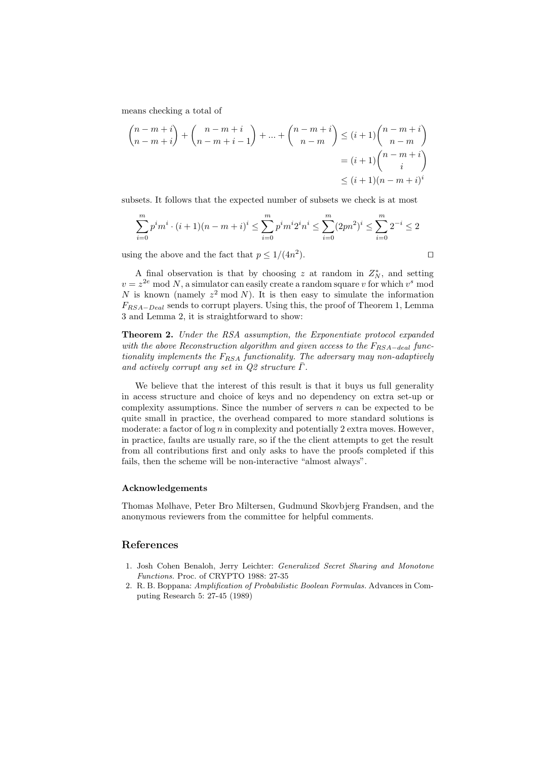means checking a total of

$$
\binom{n-m+i}{n-m+i} + \binom{n-m+i}{n-m+i-1} + \dots + \binom{n-m+i}{n-m} \leq (i+1)\binom{n-m+i}{n-m} = (i+1)\binom{n-m+i}{i} \leq (i+1)(n-m+i)^{i}
$$

subsets. It follows that the expected number of subsets we check is at most

$$
\sum_{i=0}^{m} p^{i} m^{i} \cdot (i+1)(n-m+i)^{i} \le \sum_{i=0}^{m} p^{i} m^{i} 2^{i} n^{i} \le \sum_{i=0}^{m} (2pn^{2})^{i} \le \sum_{i=0}^{m} 2^{-i} \le 2
$$

using the above and the fact that  $p \leq 1/(4n^2)$ .

A final observation is that by choosing z at random in  $Z_N^*$ , and setting  $v = z^{2e} \mod N$ , a simulator can easily create a random square v for which  $v<sup>s</sup>$  mod N is known (namely  $z^2 \mod N$ ). It is then easy to simulate the information  $F_{RSA-Deal}$  sends to corrupt players. Using this, the proof of Theorem 1, Lemma 3 and Lemma 2, it is straightforward to show:

Theorem 2. Under the RSA assumption, the Exponentiate protocol expanded with the above Reconstruction algorithm and given access to the  $F_{RSA-deal}$  functionality implements the  $F_{RSA}$  functionality. The adversary may non-adaptively and actively corrupt any set in  $Q2$  structure  $\bar{\Gamma}$ .

We believe that the interest of this result is that it buys us full generality in access structure and choice of keys and no dependency on extra set-up or complexity assumptions. Since the number of servers  $n$  can be expected to be quite small in practice, the overhead compared to more standard solutions is moderate: a factor of  $\log n$  in complexity and potentially 2 extra moves. However, in practice, faults are usually rare, so if the the client attempts to get the result from all contributions first and only asks to have the proofs completed if this fails, then the scheme will be non-interactive "almost always".

### Acknowledgements

Thomas Mølhave, Peter Bro Miltersen, Gudmund Skovbjerg Frandsen, and the anonymous reviewers from the committee for helpful comments.

### References

- 1. Josh Cohen Benaloh, Jerry Leichter: Generalized Secret Sharing and Monotone Functions. Proc. of CRYPTO 1988: 27-35
- 2. R. B. Boppana: Amplification of Probabilistic Boolean Formulas. Advances in Computing Research 5: 27-45 (1989)